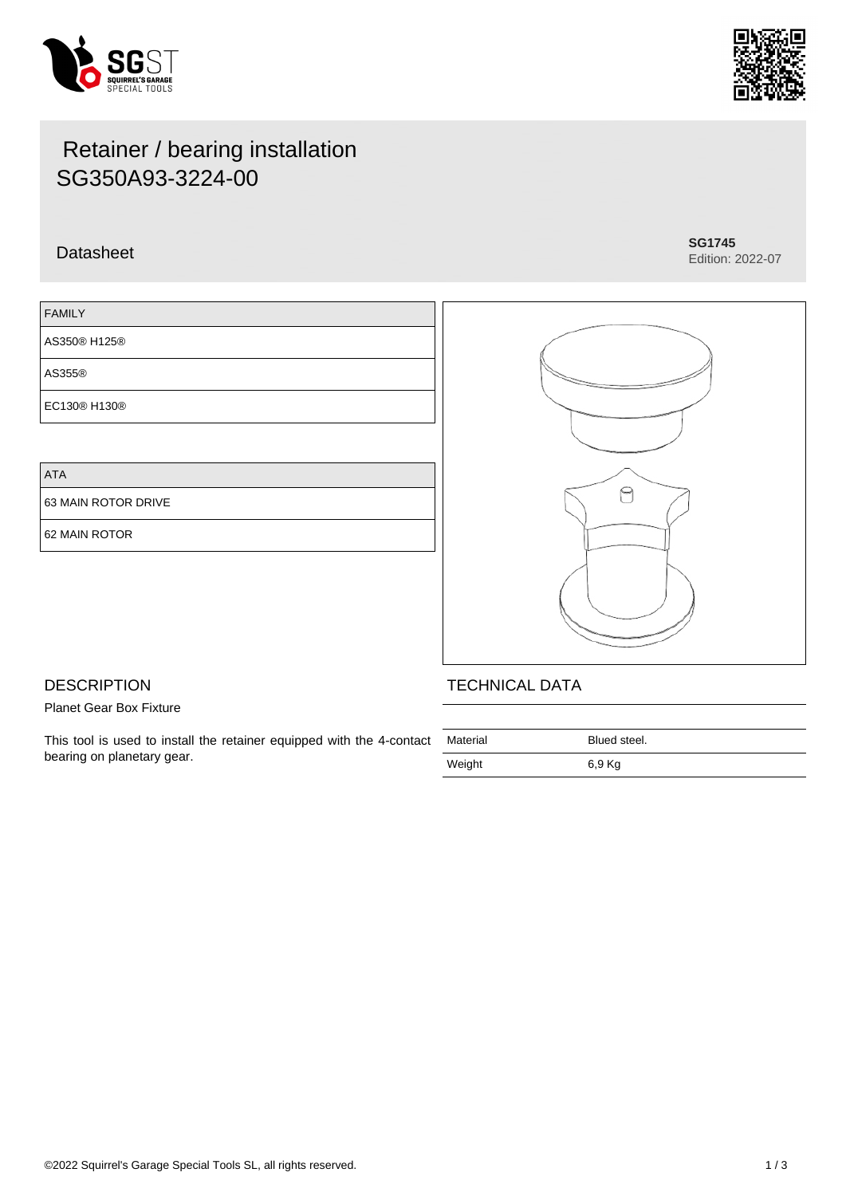



# Retainer / bearing installation SG350A93-3224-00

## Datasheet **SG1745**

Edition: 2022-07

| <b>FAMILY</b> |  |
|---------------|--|
| AS350® H125®  |  |
| AS355®        |  |
| EC130® H130®  |  |

ATA

63 MAIN ROTOR DRIVE

62 MAIN ROTOR



## **DESCRIPTION**

Planet Gear Box Fixture

This tool is used to install the retainer equipped with the 4-contact bearing on planetary gear.

| Material | Blued steel. |
|----------|--------------|
| Weight   | 6,9 Kg       |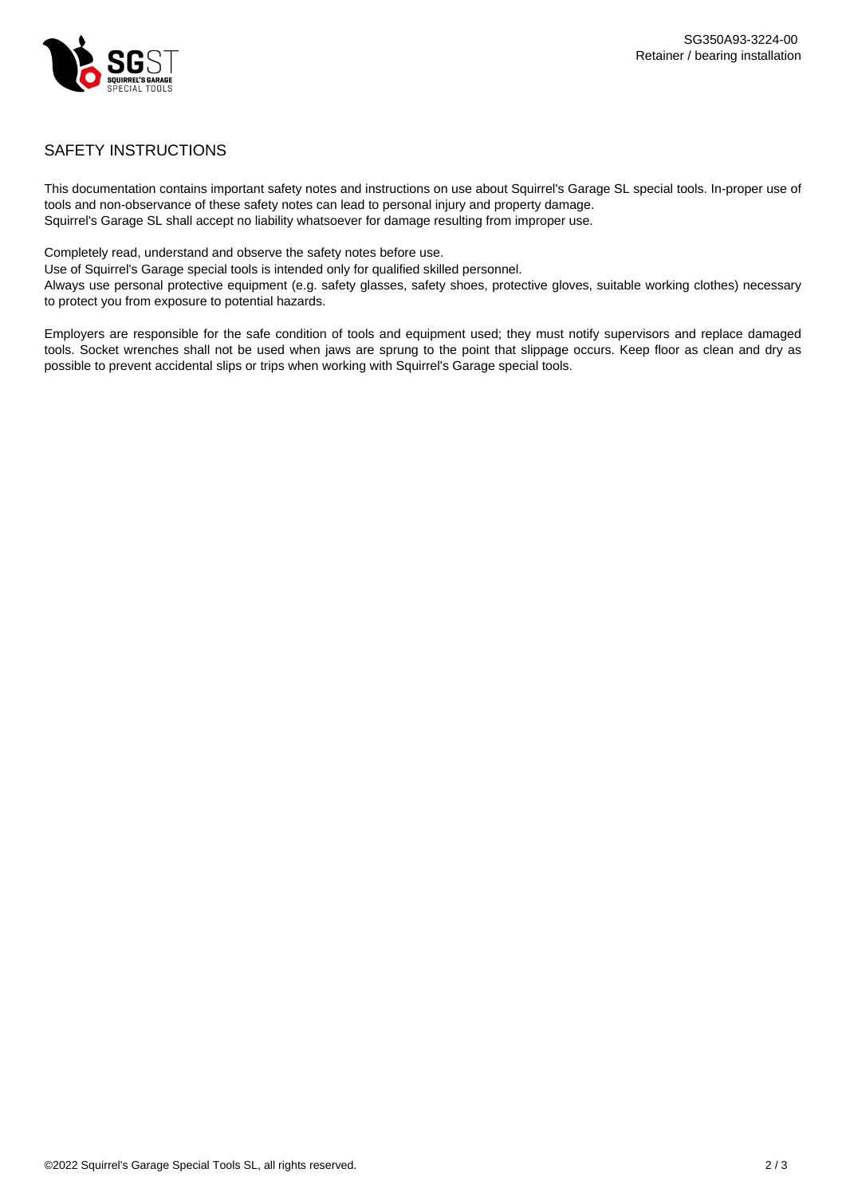

## SAFETY INSTRUCTIONS

This documentation contains important safety notes and instructions on use about Squirrel's Garage SL special tools. In-proper use of tools and non-observance of these safety notes can lead to personal injury and property damage. Squirrel's Garage SL shall accept no liability whatsoever for damage resulting from improper use.

Completely read, understand and observe the safety notes before use.

Use of Squirrel's Garage special tools is intended only for qualified skilled personnel.

Always use personal protective equipment (e.g. safety glasses, safety shoes, protective gloves, suitable working clothes) necessary to protect you from exposure to potential hazards.

Employers are responsible for the safe condition of tools and equipment used; they must notify supervisors and replace damaged tools. Socket wrenches shall not be used when jaws are sprung to the point that slippage occurs. Keep floor as clean and dry as possible to prevent accidental slips or trips when working with Squirrel's Garage special tools.